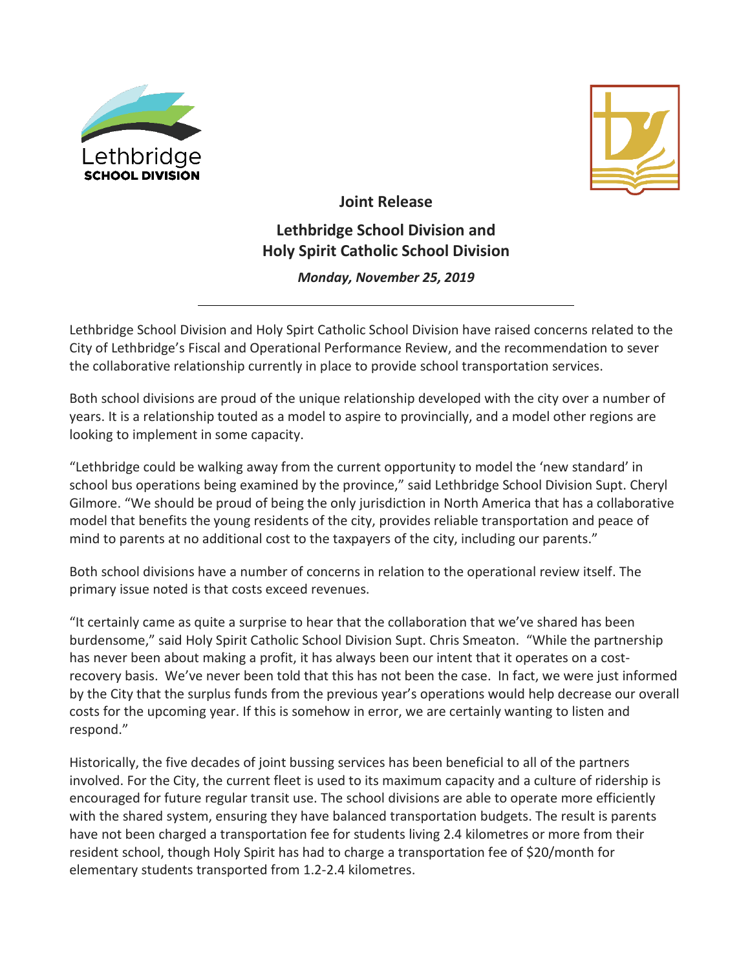



**Joint Release Lethbridge School Division and Holy Spirit Catholic School Division** 

*Monday, November 25, 2019*

Lethbridge School Division and Holy Spirt Catholic School Division have raised concerns related to the City of Lethbridge's Fiscal and Operational Performance Review, and the recommendation to sever the collaborative relationship currently in place to provide school transportation services.

Both school divisions are proud of the unique relationship developed with the city over a number of years. It is a relationship touted as a model to aspire to provincially, and a model other regions are looking to implement in some capacity.

"Lethbridge could be walking away from the current opportunity to model the 'new standard' in school bus operations being examined by the province," said Lethbridge School Division Supt. Cheryl Gilmore. "We should be proud of being the only jurisdiction in North America that has a collaborative model that benefits the young residents of the city, provides reliable transportation and peace of mind to parents at no additional cost to the taxpayers of the city, including our parents."

Both school divisions have a number of concerns in relation to the operational review itself. The primary issue noted is that costs exceed revenues.

"It certainly came as quite a surprise to hear that the collaboration that we've shared has been burdensome," said Holy Spirit Catholic School Division Supt. Chris Smeaton. "While the partnership has never been about making a profit, it has always been our intent that it operates on a costrecovery basis. We've never been told that this has not been the case. In fact, we were just informed by the City that the surplus funds from the previous year's operations would help decrease our overall costs for the upcoming year. If this is somehow in error, we are certainly wanting to listen and respond."

Historically, the five decades of joint bussing services has been beneficial to all of the partners involved. For the City, the current fleet is used to its maximum capacity and a culture of ridership is encouraged for future regular transit use. The school divisions are able to operate more efficiently with the shared system, ensuring they have balanced transportation budgets. The result is parents have not been charged a transportation fee for students living 2.4 kilometres or more from their resident school, though Holy Spirit has had to charge a transportation fee of \$20/month for elementary students transported from 1.2-2.4 kilometres.